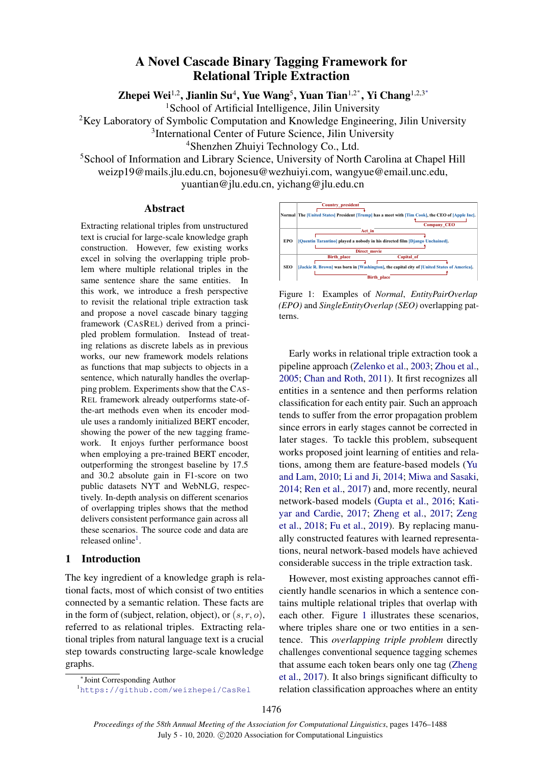# A Novel Cascade Binary Tagging Framework for Relational Triple Extraction

Zhepei Wei<sup>1,2</sup>, Jianlin Su<sup>4</sup>, Yue Wang<sup>5</sup>, Yuan Tian<sup>1,2\*</sup>, Yi Chang<sup>1,2,3\*</sup>

<sup>1</sup>School of Artificial Intelligence, Jilin University

<sup>2</sup>Key Laboratory of Symbolic Computation and Knowledge Engineering, Jilin University

<sup>3</sup>International Center of Future Science, Jilin University

<sup>4</sup>Shenzhen Zhuiyi Technology Co., Ltd.

<sup>5</sup>School of Information and Library Science, University of North Carolina at Chapel Hill weizp19@mails.jlu.edu.cn, bojonesu@wezhuiyi.com, wangyue@email.unc.edu, yuantian@jlu.edu.cn, yichang@jlu.edu.cn

#### Abstract

Extracting relational triples from unstructured text is crucial for large-scale knowledge graph construction. However, few existing works excel in solving the overlapping triple problem where multiple relational triples in the same sentence share the same entities. In this work, we introduce a fresh perspective to revisit the relational triple extraction task and propose a novel cascade binary tagging framework (CASREL) derived from a principled problem formulation. Instead of treating relations as discrete labels as in previous works, our new framework models relations as functions that map subjects to objects in a sentence, which naturally handles the overlapping problem. Experiments show that the CAS-REL framework already outperforms state-ofthe-art methods even when its encoder module uses a randomly initialized BERT encoder, showing the power of the new tagging framework. It enjoys further performance boost when employing a pre-trained BERT encoder, outperforming the strongest baseline by 17.5 and 30.2 absolute gain in F1-score on two public datasets NYT and WebNLG, respectively. In-depth analysis on different scenarios of overlapping triples shows that the method delivers consistent performance gain across all these scenarios. The source code and data are released online<sup>[1](#page-0-0)</sup>.

### 1 Introduction

The key ingredient of a knowledge graph is relational facts, most of which consist of two entities connected by a semantic relation. These facts are in the form of (subject, relation, object), or  $(s, r, o)$ , referred to as relational triples. Extracting relational triples from natural language text is a crucial step towards constructing large-scale knowledge graphs.

<span id="page-0-0"></span><sup>1</sup><https://github.com/weizhepei/CasRel>

<span id="page-0-1"></span>

Figure 1: Examples of *Normal*, *EntityPairOverlap (EPO)* and *SingleEntityOverlap (SEO)* overlapping patterns.

Early works in relational triple extraction took a pipeline approach [\(Zelenko et al.,](#page-9-0) [2003;](#page-9-0) [Zhou et al.,](#page-9-1) [2005;](#page-9-1) [Chan and Roth,](#page-8-0) [2011\)](#page-8-0). It first recognizes all entities in a sentence and then performs relation classification for each entity pair. Such an approach tends to suffer from the error propagation problem since errors in early stages cannot be corrected in later stages. To tackle this problem, subsequent works proposed joint learning of entities and relations, among them are feature-based models [\(Yu](#page-9-2) [and Lam,](#page-9-2) [2010;](#page-9-2) [Li and Ji,](#page-8-1) [2014;](#page-8-1) [Miwa and Sasaki,](#page-9-3) [2014;](#page-9-3) [Ren et al.,](#page-9-4) [2017\)](#page-9-4) and, more recently, neural network-based models [\(Gupta et al.,](#page-8-2) [2016;](#page-8-2) [Kati](#page-8-3)[yar and Cardie,](#page-8-3) [2017;](#page-8-3) [Zheng et al.,](#page-9-5) [2017;](#page-9-5) [Zeng](#page-9-6) [et al.,](#page-9-6) [2018;](#page-9-6) [Fu et al.,](#page-8-4) [2019\)](#page-8-4). By replacing manually constructed features with learned representations, neural network-based models have achieved considerable success in the triple extraction task.

However, most existing approaches cannot efficiently handle scenarios in which a sentence contains multiple relational triples that overlap with each other. Figure [1](#page-0-1) illustrates these scenarios, where triples share one or two entities in a sentence. This *overlapping triple problem* directly challenges conventional sequence tagging schemes that assume each token bears only one tag [\(Zheng](#page-9-5) [et al.,](#page-9-5) [2017\)](#page-9-5). It also brings significant difficulty to relation classification approaches where an entity

<sup>∗</sup> Joint Corresponding Author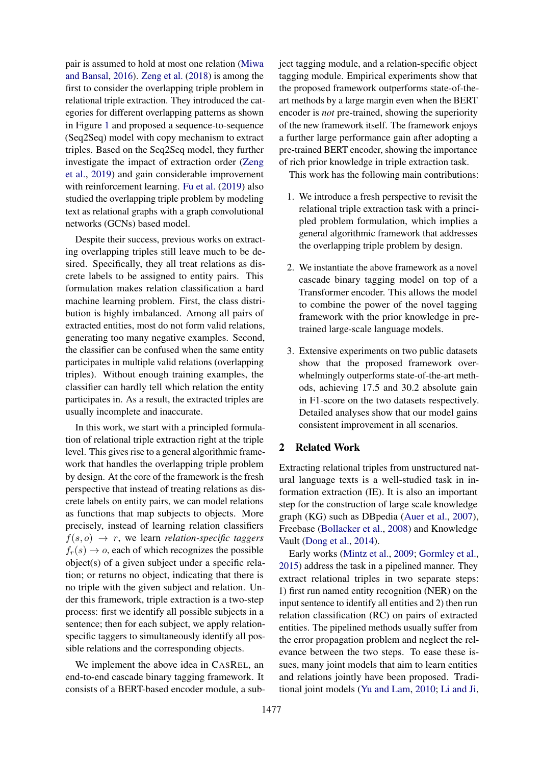pair is assumed to hold at most one relation [\(Miwa](#page-8-5) [and Bansal,](#page-8-5) [2016\)](#page-8-5). [Zeng et al.](#page-9-6) [\(2018\)](#page-9-6) is among the first to consider the overlapping triple problem in relational triple extraction. They introduced the categories for different overlapping patterns as shown in Figure [1](#page-0-1) and proposed a sequence-to-sequence (Seq2Seq) model with copy mechanism to extract triples. Based on the Seq2Seq model, they further investigate the impact of extraction order [\(Zeng](#page-9-7) [et al.,](#page-9-7) [2019\)](#page-9-7) and gain considerable improvement with reinforcement learning. [Fu et al.](#page-8-4) [\(2019\)](#page-8-4) also studied the overlapping triple problem by modeling text as relational graphs with a graph convolutional networks (GCNs) based model.

Despite their success, previous works on extracting overlapping triples still leave much to be desired. Specifically, they all treat relations as discrete labels to be assigned to entity pairs. This formulation makes relation classification a hard machine learning problem. First, the class distribution is highly imbalanced. Among all pairs of extracted entities, most do not form valid relations, generating too many negative examples. Second, the classifier can be confused when the same entity participates in multiple valid relations (overlapping triples). Without enough training examples, the classifier can hardly tell which relation the entity participates in. As a result, the extracted triples are usually incomplete and inaccurate.

In this work, we start with a principled formulation of relational triple extraction right at the triple level. This gives rise to a general algorithmic framework that handles the overlapping triple problem by design. At the core of the framework is the fresh perspective that instead of treating relations as discrete labels on entity pairs, we can model relations as functions that map subjects to objects. More precisely, instead of learning relation classifiers  $f(s, o) \rightarrow r$ , we learn *relation-specific taggers*  $f_r(s) \rightarrow o$ , each of which recognizes the possible object(s) of a given subject under a specific relation; or returns no object, indicating that there is no triple with the given subject and relation. Under this framework, triple extraction is a two-step process: first we identify all possible subjects in a sentence; then for each subject, we apply relationspecific taggers to simultaneously identify all possible relations and the corresponding objects.

We implement the above idea in CASREL, an end-to-end cascade binary tagging framework. It consists of a BERT-based encoder module, a subject tagging module, and a relation-specific object tagging module. Empirical experiments show that the proposed framework outperforms state-of-theart methods by a large margin even when the BERT encoder is *not* pre-trained, showing the superiority of the new framework itself. The framework enjoys a further large performance gain after adopting a pre-trained BERT encoder, showing the importance of rich prior knowledge in triple extraction task.

This work has the following main contributions:

- 1. We introduce a fresh perspective to revisit the relational triple extraction task with a principled problem formulation, which implies a general algorithmic framework that addresses the overlapping triple problem by design.
- 2. We instantiate the above framework as a novel cascade binary tagging model on top of a Transformer encoder. This allows the model to combine the power of the novel tagging framework with the prior knowledge in pretrained large-scale language models.
- 3. Extensive experiments on two public datasets show that the proposed framework overwhelmingly outperforms state-of-the-art methods, achieving 17.5 and 30.2 absolute gain in F1-score on the two datasets respectively. Detailed analyses show that our model gains consistent improvement in all scenarios.

### 2 Related Work

Extracting relational triples from unstructured natural language texts is a well-studied task in information extraction (IE). It is also an important step for the construction of large scale knowledge graph (KG) such as DBpedia [\(Auer et al.,](#page-8-6) [2007\)](#page-8-6), Freebase [\(Bollacker et al.,](#page-8-7) [2008\)](#page-8-7) and Knowledge Vault [\(Dong et al.,](#page-8-8) [2014\)](#page-8-8).

Early works [\(Mintz et al.,](#page-8-9) [2009;](#page-8-9) [Gormley et al.,](#page-8-10) [2015\)](#page-8-10) address the task in a pipelined manner. They extract relational triples in two separate steps: 1) first run named entity recognition (NER) on the input sentence to identify all entities and 2) then run relation classification (RC) on pairs of extracted entities. The pipelined methods usually suffer from the error propagation problem and neglect the relevance between the two steps. To ease these issues, many joint models that aim to learn entities and relations jointly have been proposed. Traditional joint models [\(Yu and Lam,](#page-9-2) [2010;](#page-9-2) [Li and Ji,](#page-8-1)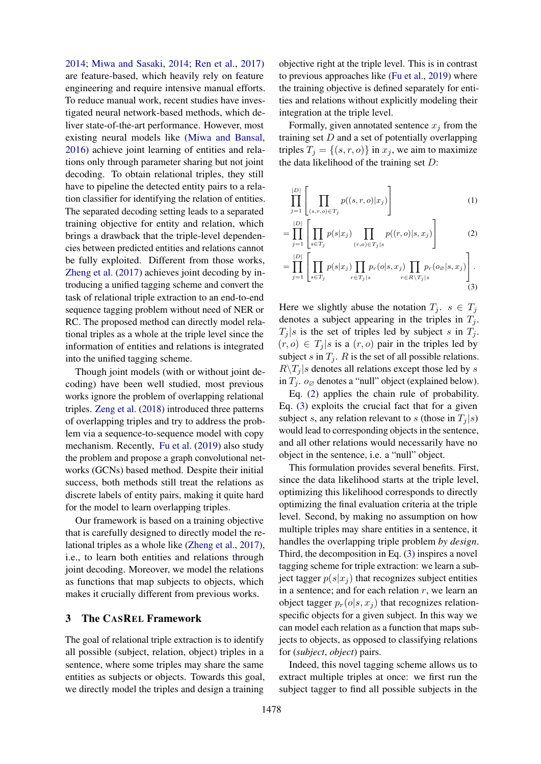[2014;](#page-8-1) [Miwa and Sasaki,](#page-9-3) [2014;](#page-9-3) [Ren et al.,](#page-9-4) [2017\)](#page-9-4) are feature-based, which heavily rely on feature engineering and require intensive manual efforts. To reduce manual work, recent studies have investigated neural network-based methods, which deliver state-of-the-art performance. However, most existing neural models like [\(Miwa and Bansal,](#page-8-5) [2016\)](#page-8-5) achieve joint learning of entities and relations only through parameter sharing but not joint decoding. To obtain relational triples, they still have to pipeline the detected entity pairs to a relation classifier for identifying the relation of entities. The separated decoding setting leads to a separated training objective for entity and relation, which brings a drawback that the triple-level dependencies between predicted entities and relations cannot be fully exploited. Different from those works, [Zheng et al.](#page-9-5) [\(2017\)](#page-9-5) achieves joint decoding by introducing a unified tagging scheme and convert the task of relational triple extraction to an end-to-end sequence tagging problem without need of NER or RC. The proposed method can directly model relational triples as a whole at the triple level since the information of entities and relations is integrated into the unified tagging scheme.

Though joint models (with or without joint decoding) have been well studied, most previous works ignore the problem of overlapping relational triples. [Zeng et al.](#page-9-6) [\(2018\)](#page-9-6) introduced three patterns of overlapping triples and try to address the problem via a sequence-to-sequence model with copy mechanism. Recently, [Fu et al.](#page-8-4) [\(2019\)](#page-8-4) also study the problem and propose a graph convolutional networks (GCNs) based method. Despite their initial success, both methods still treat the relations as discrete labels of entity pairs, making it quite hard for the model to learn overlapping triples.

Our framework is based on a training objective that is carefully designed to directly model the relational triples as a whole like [\(Zheng et al.,](#page-9-5) [2017\)](#page-9-5), i.e., to learn both entities and relations through joint decoding. Moreover, we model the relations as functions that map subjects to objects, which makes it crucially different from previous works.

#### 3 The CASREL Framework

The goal of relational triple extraction is to identify all possible (subject, relation, object) triples in a sentence, where some triples may share the same entities as subjects or objects. Towards this goal, we directly model the triples and design a training

objective right at the triple level. This is in contrast to previous approaches like [\(Fu et al.,](#page-8-4) [2019\)](#page-8-4) where the training objective is defined separately for entities and relations without explicitly modeling their integration at the triple level.

Formally, given annotated sentence  $x_i$  from the training set  $D$  and a set of potentially overlapping triples  $T_i = \{(s, r, o)\}\$ in  $x_i$ , we aim to maximize the data likelihood of the training set  $D$ :

<span id="page-2-0"></span>
$$
\prod_{j=1}^{|D|} \left[ \prod_{(s,r,o) \in T_j} p((s,r,o)|x_j) \right] \tag{1}
$$

$$
= \prod_{j=1}^{|D|} \left[ \prod_{s \in T_j} p(s|x_j) \prod_{(r,o) \in T_j \mid s} p((r,o)|s,x_j) \right]
$$
(2)

<span id="page-2-1"></span>
$$
= \prod_{j=1}^{|D|} \left[ \prod_{s \in T_j} p(s|x_j) \prod_{r \in T_j|s} p_r(o|s, x_j) \prod_{r \in R \setminus T_j|s} p_r(o_{\varnothing}|s, x_j) \right].
$$
\n(3)

Here we slightly abuse the notation  $T_j$ .  $s \in T_j$ denotes a subject appearing in the triples in  $T_i$ .  $T_i | s$  is the set of triples led by subject s in  $T_i$ .  $(r, o) \in T_i | s$  is a  $(r, o)$  pair in the triples led by subject s in  $T_j$ . R is the set of all possible relations.  $R\setminus T_j$  s denotes all relations except those led by s in  $T_j$ .  $o_{\emptyset}$  denotes a "null" object (explained below).

Eq. [\(2\)](#page-2-0) applies the chain rule of probability. Eq. [\(3\)](#page-2-1) exploits the crucial fact that for a given subject s, any relation relevant to s (those in  $T_i | s$ ) would lead to corresponding objects in the sentence, and all other relations would necessarily have no object in the sentence, i.e. a "null" object.

This formulation provides several benefits. First, since the data likelihood starts at the triple level, optimizing this likelihood corresponds to directly optimizing the final evaluation criteria at the triple level. Second, by making no assumption on how multiple triples may share entities in a sentence, it handles the overlapping triple problem *by design*. Third, the decomposition in Eq. [\(3\)](#page-2-1) inspires a novel tagging scheme for triple extraction: we learn a subject tagger  $p(s|x_i)$  that recognizes subject entities in a sentence; and for each relation  $r$ , we learn an object tagger  $p_r(o|s, x_i)$  that recognizes relationspecific objects for a given subject. In this way we can model each relation as a function that maps subjects to objects, as opposed to classifying relations for (*subject*, *object*) pairs.

Indeed, this novel tagging scheme allows us to extract multiple triples at once: we first run the subject tagger to find all possible subjects in the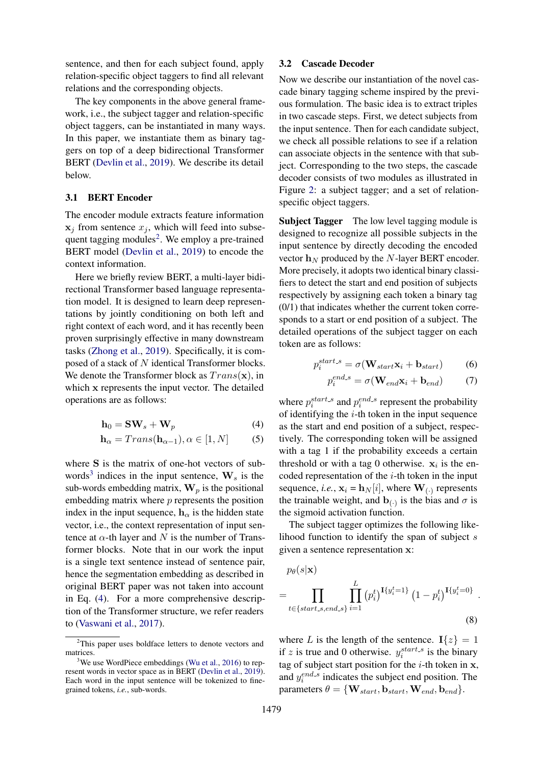sentence, and then for each subject found, apply relation-specific object taggers to find all relevant relations and the corresponding objects.

The key components in the above general framework, i.e., the subject tagger and relation-specific object taggers, can be instantiated in many ways. In this paper, we instantiate them as binary taggers on top of a deep bidirectional Transformer BERT [\(Devlin et al.,](#page-8-11) [2019\)](#page-8-11). We describe its detail below.

#### 3.1 BERT Encoder

The encoder module extracts feature information  $x_j$  from sentence  $x_j$ , which will feed into subse-quent tagging modules<sup>[2](#page-3-0)</sup>. We employ a pre-trained BERT model [\(Devlin et al.,](#page-8-11) [2019\)](#page-8-11) to encode the context information.

Here we briefly review BERT, a multi-layer bidirectional Transformer based language representation model. It is designed to learn deep representations by jointly conditioning on both left and right context of each word, and it has recently been proven surprisingly effective in many downstream tasks [\(Zhong et al.,](#page-9-8) [2019\)](#page-9-8). Specifically, it is composed of a stack of N identical Transformer blocks. We denote the Transformer block as  $Trans(\mathbf{x})$ , in which x represents the input vector. The detailed operations are as follows:

$$
\mathbf{h}_0 = \mathbf{SW}_s + \mathbf{W}_p \tag{4}
$$

$$
\mathbf{h}_{\alpha} = Trans(\mathbf{h}_{\alpha-1}), \alpha \in [1, N] \tag{5}
$$

where S is the matrix of one-hot vectors of sub-words<sup>[3](#page-3-1)</sup> indices in the input sentence,  $W_s$  is the sub-words embedding matrix,  $\mathbf{W}_p$  is the positional embedding matrix where  $p$  represents the position index in the input sequence,  $h_{\alpha}$  is the hidden state vector, i.e., the context representation of input sentence at  $\alpha$ -th layer and N is the number of Transformer blocks. Note that in our work the input is a single text sentence instead of sentence pair, hence the segmentation embedding as described in original BERT paper was not taken into account in Eq. [\(4\)](#page-3-2). For a more comprehensive description of the Transformer structure, we refer readers to [\(Vaswani et al.,](#page-9-9) [2017\)](#page-9-9).

#### 3.2 Cascade Decoder

Now we describe our instantiation of the novel cascade binary tagging scheme inspired by the previous formulation. The basic idea is to extract triples in two cascade steps. First, we detect subjects from the input sentence. Then for each candidate subject, we check all possible relations to see if a relation can associate objects in the sentence with that subject. Corresponding to the two steps, the cascade decoder consists of two modules as illustrated in Figure [2:](#page-4-0) a subject tagger; and a set of relationspecific object taggers.

Subject Tagger The low level tagging module is designed to recognize all possible subjects in the input sentence by directly decoding the encoded vector  $\mathbf{h}_N$  produced by the N-layer BERT encoder. More precisely, it adopts two identical binary classifiers to detect the start and end position of subjects respectively by assigning each token a binary tag (0/1) that indicates whether the current token corresponds to a start or end position of a subject. The detailed operations of the subject tagger on each token are as follows:

$$
p_i^{start.s} = \sigma(\mathbf{W}_{start}\mathbf{x}_i + \mathbf{b}_{start}) \tag{6}
$$

$$
p_i^{end.s} = \sigma(\mathbf{W}_{end}\mathbf{x}_i + \mathbf{b}_{end}) \tag{7}
$$

<span id="page-3-2"></span>where  $p_i^{start,s}$  and  $p_i^{end,s}$  represent the probability of identifying the  $i$ -th token in the input sequence as the start and end position of a subject, respectively. The corresponding token will be assigned with a tag 1 if the probability exceeds a certain threshold or with a tag 0 otherwise.  $x_i$  is the encoded representation of the  $i$ -th token in the input sequence, *i.e.*,  $\mathbf{x}_i = \mathbf{h}_N[i]$ , where  $\mathbf{W}_{\left(\cdot\right)}$  represents the trainable weight, and  $\mathbf{b}_{\left(\cdot\right)}$  is the bias and  $\sigma$  is the sigmoid activation function.

The subject tagger optimizes the following likelihood function to identify the span of subject  $s$ given a sentence representation x:

$$
p_{\theta}(s|\mathbf{x}) = \prod_{t \in \{start\_s, end\_s\}} \prod_{i=1}^{L} (p_i^t)^{\mathbf{I}\{y_i^t = 1\}} (1 - p_i^t)^{\mathbf{I}\{y_i^t = 0\}}.
$$
\n(8)

<span id="page-3-3"></span>where L is the length of the sentence.  $I\{z\} = 1$ if z is true and 0 otherwise.  $y_i^{start,s}$  is the binary tag of subject start position for the  $i$ -th token in  $x$ , and  $y_i^{end.s}$  indicates the subject end position. The parameters  $\theta = \{W_{start}, b_{start}, W_{end}, b_{end}\}.$ 

<span id="page-3-0"></span><sup>2</sup>This paper uses boldface letters to denote vectors and matrices.

<span id="page-3-1"></span> $3$ We use WordPiece embeddings [\(Wu et al.,](#page-9-10) [2016\)](#page-9-10) to represent words in vector space as in BERT [\(Devlin et al.,](#page-8-11) [2019\)](#page-8-11). Each word in the input sentence will be tokenized to finegrained tokens, *i.e.*, sub-words.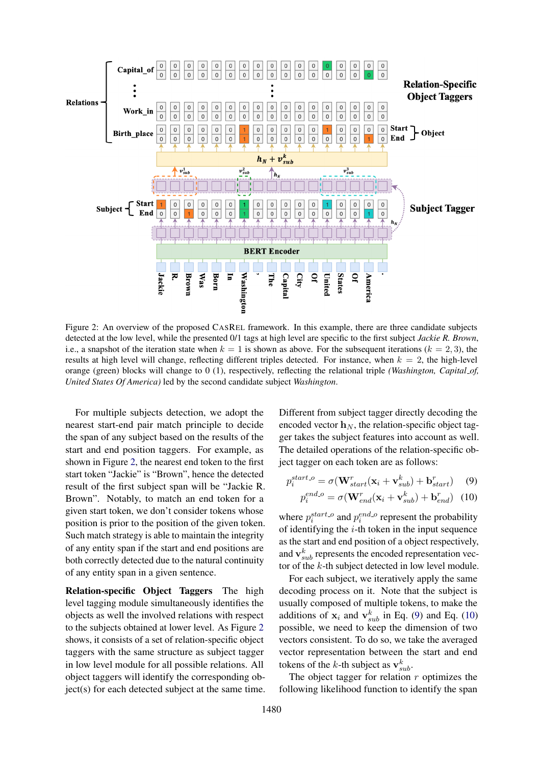<span id="page-4-0"></span>

Figure 2: An overview of the proposed CASREL framework. In this example, there are three candidate subjects detected at the low level, while the presented 0/1 tags at high level are specific to the first subject *Jackie R. Brown*, i.e., a snapshot of the iteration state when  $k = 1$  is shown as above. For the subsequent iterations  $(k = 2, 3)$ , the results at high level will change, reflecting different triples detected. For instance, when  $k = 2$ , the high-level orange (green) blocks will change to 0 (1), respectively, reflecting the relational triple *(Washington, Capital of, United States Of America)* led by the second candidate subject *Washington*.

For multiple subjects detection, we adopt the nearest start-end pair match principle to decide the span of any subject based on the results of the start and end position taggers. For example, as shown in Figure [2,](#page-4-0) the nearest end token to the first start token "Jackie" is "Brown", hence the detected result of the first subject span will be "Jackie R. Brown". Notably, to match an end token for a given start token, we don't consider tokens whose position is prior to the position of the given token. Such match strategy is able to maintain the integrity of any entity span if the start and end positions are both correctly detected due to the natural continuity of any entity span in a given sentence.

Relation-specific Object Taggers The high level tagging module simultaneously identifies the objects as well the involved relations with respect to the subjects obtained at lower level. As Figure [2](#page-4-0) shows, it consists of a set of relation-specific object taggers with the same structure as subject tagger in low level module for all possible relations. All object taggers will identify the corresponding object(s) for each detected subject at the same time.

Different from subject tagger directly decoding the encoded vector  $h_N$ , the relation-specific object tagger takes the subject features into account as well. The detailed operations of the relation-specific object tagger on each token are as follows:

$$
p_i^{start.o} = \sigma(\mathbf{W}_{start}^r(\mathbf{x}_i + \mathbf{v}_{sub}^k) + \mathbf{b}_{start}^r)
$$
(9)

<span id="page-4-2"></span><span id="page-4-1"></span>
$$
p_i^{end.o} = \sigma(\mathbf{W}_{end}^r(\mathbf{x}_i + \mathbf{v}_{sub}^k) + \mathbf{b}_{end}^r)
$$
 (10)

where  $p_i^{start.o}$  and  $p_i^{end.o}$  represent the probability of identifying the  $i$ -th token in the input sequence as the start and end position of a object respectively, and  $\mathbf{v}_{sub}^{k}$  represents the encoded representation vector of the k-th subject detected in low level module.

For each subject, we iteratively apply the same decoding process on it. Note that the subject is usually composed of multiple tokens, to make the additions of  $x_i$  and  $v_{sub}^k$  in Eq. [\(9\)](#page-4-1) and Eq. [\(10\)](#page-4-2) possible, we need to keep the dimension of two vectors consistent. To do so, we take the averaged vector representation between the start and end tokens of the k-th subject as  $\mathbf{v}_{sub}^k$ .

The object tagger for relation  $r$  optimizes the following likelihood function to identify the span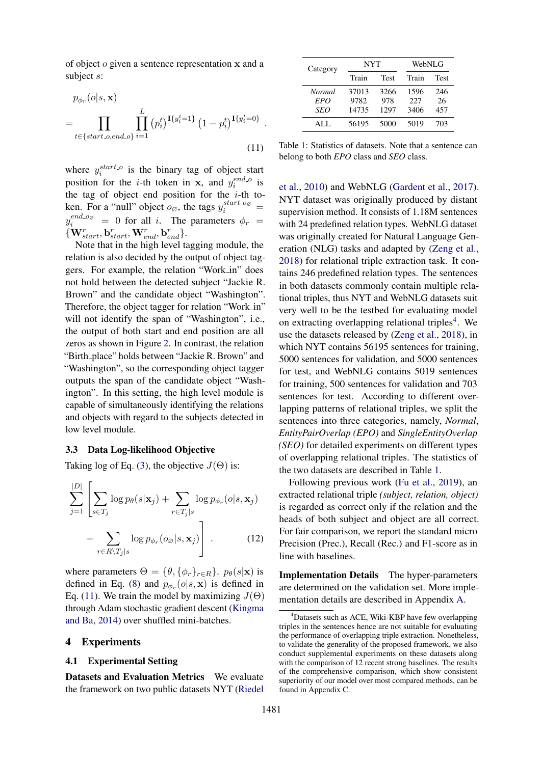of object o given a sentence representation x and a subject s:

$$
p_{\phi_r}(o|s, \mathbf{x})
$$
  
= 
$$
\prod_{t \in \{start.o, end.o\}} \prod_{i=1}^{L} (p_i^t)^{\mathbf{I}\{y_i^t = 1\}} (1 - p_i^t)^{\mathbf{I}\{y_i^t = 0\}}
$$
  
(11)

<span id="page-5-0"></span>.

where  $y_i^{start.o}$  is the binary tag of object start position for the *i*-th token in **x**, and  $y_i^{end.o}$  is the tag of object end position for the  $i$ -th token. For a "null" object  $o_{\emptyset}$ , the tags  $y_i^{start.o_{\emptyset}} =$  $y_i^{end \circ o_{\mathcal{O}}} = 0$  for all i. The parameters  $\phi_r =$  $\{ \mathbf{W}_{start}^{r}, \mathbf{b}_{start}^{r}, \mathbf{W}_{end}^{r}, \mathbf{b}_{end}^{r} \}.$ 

Note that in the high level tagging module, the relation is also decided by the output of object taggers. For example, the relation "Work in" does not hold between the detected subject "Jackie R. Brown" and the candidate object "Washington". Therefore, the object tagger for relation "Work in" will not identify the span of "Washington", i.e., the output of both start and end position are all zeros as shown in Figure [2.](#page-4-0) In contrast, the relation "Birth place" holds between "Jackie R. Brown" and "Washington", so the corresponding object tagger outputs the span of the candidate object "Washington". In this setting, the high level module is capable of simultaneously identifying the relations and objects with regard to the subjects detected in low level module.

#### 3.3 Data Log-likelihood Objective

Taking log of Eq. [\(3\)](#page-2-1), the objective  $J(\Theta)$  is:

$$
\sum_{j=1}^{|D|} \left[ \sum_{s \in T_j} \log p_{\theta}(s|\mathbf{x}_j) + \sum_{r \in T_j|s} \log p_{\phi_r}(o|s, \mathbf{x}_j) + \sum_{r \in R \setminus T_j|s} \log p_{\phi_r}(o_{\varnothing}|s, \mathbf{x}_j) \right].
$$
 (12)

where parameters  $\Theta = \{\theta, \{\phi_r\}_{r \in R}\}\$ .  $p_\theta(s|\mathbf{x})$  is defined in Eq. [\(8\)](#page-3-3) and  $p_{\phi_r}(o|s, \mathbf{x})$  is defined in Eq. [\(11\)](#page-5-0). We train the model by maximizing  $J(\Theta)$ through Adam stochastic gradient descent [\(Kingma](#page-8-12) [and Ba,](#page-8-12) [2014\)](#page-8-12) over shuffled mini-batches.

#### 4 Experiments

#### 4.1 Experimental Setting

<span id="page-5-3"></span>Datasets and Evaluation Metrics We evaluate the framework on two public datasets NYT [\(Riedel](#page-9-11)

<span id="page-5-2"></span>

| Category      | <b>NYT</b> |      | WebNLG |      |  |  |
|---------------|------------|------|--------|------|--|--|
|               | Train      | Test | Train  | Test |  |  |
| <b>Normal</b> | 37013      | 3266 | 1596   | 246  |  |  |
| EPO           | 9782       | 978  | 227    | 26   |  |  |
| <b>SEO</b>    | 14735      | 1297 | 3406   | 457  |  |  |
| ALL.          | 56195      | 5000 | 5019   | 703  |  |  |

Table 1: Statistics of datasets. Note that a sentence can belong to both *EPO* class and *SEO* class.

[et al.,](#page-9-11) [2010\)](#page-9-11) and WebNLG [\(Gardent et al.,](#page-8-13) [2017\)](#page-8-13). NYT dataset was originally produced by distant supervision method. It consists of 1.18M sentences with 24 predefined relation types. WebNLG dataset was originally created for Natural Language Generation (NLG) tasks and adapted by [\(Zeng et al.,](#page-9-6) [2018\)](#page-9-6) for relational triple extraction task. It contains 246 predefined relation types. The sentences in both datasets commonly contain multiple relational triples, thus NYT and WebNLG datasets suit very well to be the testbed for evaluating model on extracting overlapping relational triples<sup>[4](#page-5-1)</sup>. We use the datasets released by [\(Zeng et al.,](#page-9-6) [2018\)](#page-9-6), in which NYT contains 56195 sentences for training, 5000 sentences for validation, and 5000 sentences for test, and WebNLG contains 5019 sentences for training, 500 sentences for validation and 703 sentences for test. According to different overlapping patterns of relational triples, we split the sentences into three categories, namely, *Normal*, *EntityPairOverlap (EPO)* and *SingleEntityOverlap (SEO)* for detailed experiments on different types of overlapping relational triples. The statistics of the two datasets are described in Table [1.](#page-5-2)

Following previous work [\(Fu et al.,](#page-8-4) [2019\)](#page-8-4), an extracted relational triple *(subject, relation, object)* is regarded as correct only if the relation and the heads of both subject and object are all correct. For fair comparison, we report the standard micro Precision (Prec.), Recall (Rec.) and F1-score as in line with baselines.

Implementation Details The hyper-parameters are determined on the validation set. More implementation details are described in Appendix [A.](#page-10-0)

<span id="page-5-1"></span><sup>&</sup>lt;sup>4</sup>Datasets such as ACE, Wiki-KBP have few overlapping triples in the sentences hence are not suitable for evaluating the performance of overlapping triple extraction. Nonetheless, to validate the generality of the proposed framework, we also conduct supplemental experiments on these datasets along with the comparison of 12 recent strong baselines. The results of the comprehensive comparison, which show consistent superiority of our model over most compared methods, can be found in Appendix [C.](#page-10-1)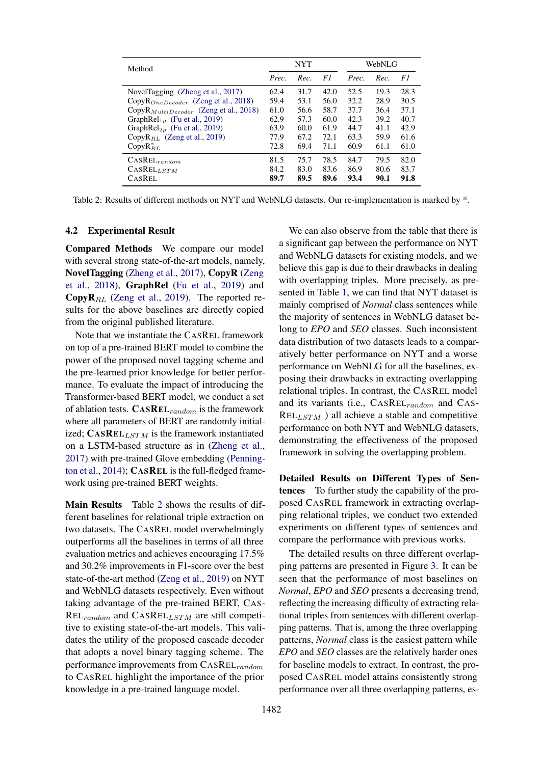<span id="page-6-0"></span>

| Method                                            |       | <b>NYT</b> |      | WebNLG |      |      |  |
|---------------------------------------------------|-------|------------|------|--------|------|------|--|
|                                                   | Prec. | Rec.       | F1   | Prec.  | Rec. | F1   |  |
| NovelTagging (Zheng et al., 2017)                 | 62.4  | 31.7       | 42.0 | 52.5   | 19.3 | 28.3 |  |
| Copy $R_{OneDecoder}$ (Zeng et al., 2018)         | 59.4  | 53.1       | 56.0 | 32.2   | 28.9 | 30.5 |  |
| CopyR <sub>MultiDecoder</sub> (Zeng et al., 2018) | 61.0  | 56.6       | 58.7 | 37.7   | 36.4 | 37.1 |  |
| GraphRel <sub>1n</sub> (Fu et al., 2019)          | 62.9  | 57.3       | 60.0 | 42.3   | 39.2 | 40.7 |  |
| Graph $\text{Rel}_{2p}$ (Fu et al., 2019)         | 63.9  | 60.0       | 61.9 | 44.7   | 41.1 | 42.9 |  |
| Copy $R_{RL}$ (Zeng et al., 2019)                 | 77.9  | 67.2       | 72.1 | 63.3   | 59.9 | 61.6 |  |
| $CopyR_{RL}^*$                                    | 72.8  | 69.4       | 71.1 | 60.9   | 61.1 | 61.0 |  |
| $CASEEL_{random}$                                 | 81.5  | 75.7       | 78.5 | 84.7   | 79.5 | 82.0 |  |
| CASELLSTM                                         | 84.2  | 83.0       | 83.6 | 86.9   | 80.6 | 83.7 |  |
| CASREL                                            | 89.7  | 89.5       | 89.6 | 93.4   | 90.1 | 91.8 |  |

Table 2: Results of different methods on NYT and WebNLG datasets. Our re-implementation is marked by \*.

#### 4.2 Experimental Result

Compared Methods We compare our model with several strong state-of-the-art models, namely, NovelTagging [\(Zheng et al.,](#page-9-5) [2017\)](#page-9-5), CopyR [\(Zeng](#page-9-6) [et al.,](#page-9-6) [2018\)](#page-9-6), GraphRel [\(Fu et al.,](#page-8-4) [2019\)](#page-8-4) and **CopyR**<sub>RL</sub> [\(Zeng et al.,](#page-9-7) [2019\)](#page-9-7). The reported results for the above baselines are directly copied from the original published literature.

Note that we instantiate the CASREL framework on top of a pre-trained BERT model to combine the power of the proposed novel tagging scheme and the pre-learned prior knowledge for better performance. To evaluate the impact of introducing the Transformer-based BERT model, we conduct a set of ablation tests.  $CASREL_{random}$  is the framework where all parameters of BERT are randomly initialized;  $CASREL<sub>LSTM</sub>$  is the framework instantiated on a LSTM-based structure as in [\(Zheng et al.,](#page-9-5) [2017\)](#page-9-5) with pre-trained Glove embedding [\(Penning](#page-9-12)[ton et al.,](#page-9-12) [2014\)](#page-9-12); CASREL is the full-fledged framework using pre-trained BERT weights.

Main Results Table [2](#page-6-0) shows the results of different baselines for relational triple extraction on two datasets. The CASREL model overwhelmingly outperforms all the baselines in terms of all three evaluation metrics and achieves encouraging 17.5% and 30.2% improvements in F1-score over the best state-of-the-art method [\(Zeng et al.,](#page-9-7) [2019\)](#page-9-7) on NYT and WebNLG datasets respectively. Even without taking advantage of the pre-trained BERT, CAS- $REL_{random}$  and  $CASEL_{LSTM}$  are still competitive to existing state-of-the-art models. This validates the utility of the proposed cascade decoder that adopts a novel binary tagging scheme. The performance improvements from  $CASEL_{random}$ to CASREL highlight the importance of the prior knowledge in a pre-trained language model.

We can also observe from the table that there is a significant gap between the performance on NYT and WebNLG datasets for existing models, and we believe this gap is due to their drawbacks in dealing with overlapping triples. More precisely, as presented in Table [1,](#page-0-1) we can find that NYT dataset is mainly comprised of *Normal* class sentences while the majority of sentences in WebNLG dataset belong to *EPO* and *SEO* classes. Such inconsistent data distribution of two datasets leads to a comparatively better performance on NYT and a worse performance on WebNLG for all the baselines, exposing their drawbacks in extracting overlapping relational triples. In contrast, the CASREL model and its variants (i.e., CASREL<sub>random</sub> and CAS- $REL_{LSTM}$  ) all achieve a stable and competitive performance on both NYT and WebNLG datasets, demonstrating the effectiveness of the proposed framework in solving the overlapping problem.

Detailed Results on Different Types of Sentences To further study the capability of the proposed CASREL framework in extracting overlapping relational triples, we conduct two extended experiments on different types of sentences and compare the performance with previous works.

The detailed results on three different overlapping patterns are presented in Figure [3.](#page-7-0) It can be seen that the performance of most baselines on *Normal*, *EPO* and *SEO* presents a decreasing trend, reflecting the increasing difficulty of extracting relational triples from sentences with different overlapping patterns. That is, among the three overlapping patterns, *Normal* class is the easiest pattern while *EPO* and *SEO* classes are the relatively harder ones for baseline models to extract. In contrast, the proposed CASREL model attains consistently strong performance over all three overlapping patterns, es-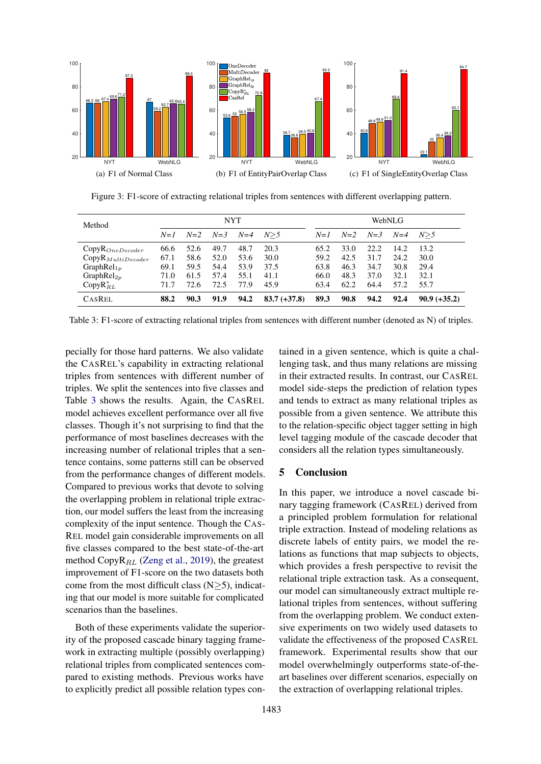<span id="page-7-0"></span>

Figure 3: F1-score of extracting relational triples from sentences with different overlapping pattern.

<span id="page-7-1"></span>

| Method                        | <b>NYT</b> |       |       |       |                | WebNLG |       |       |       |                |
|-------------------------------|------------|-------|-------|-------|----------------|--------|-------|-------|-------|----------------|
|                               | $N=1$      | $N=2$ | $N=3$ | $N=4$ | N>5            | $N=1$  | $N=2$ | $N=3$ | $N=4$ | N>5            |
| $CopyR_{OneDecoder}$          | 66.6       | 52.6  | 49.7  | 48.7  | 20.3           | 65.2   | 33.0  | 22.2  | 14.2  | 13.2           |
| CopyR <sub>MultiDecoder</sub> | 67.1       | 58.6  | 52.0  | 53.6  | 30.0           | 59.2   | 42.5  | 31.7  | 24.2  | 30.0           |
| GraphRe $l_{1p}$              | 69.1       | 59.5  | 54.4  | 53.9  | 37.5           | 63.8   | 46.3  | 34.7  | 30.8  | 29.4           |
| GraphRel $_{2p}$              | 71.0       | 61.5  | 57.4  | 55.1  | 41.1           | 66.0   | 48.3  | 37.0  | 32.1  | 32.1           |
| $CopyR_{RL}^*$                | 71.7       | 72.6  | 72.5  | 77.9  | 45.9           | 63.4   | 62.2  | 64.4  | 57.2  | 55.7           |
| <b>CASREL</b>                 | 88.2       | 90.3  | 91.9  | 94.2  | $83.7 (+37.8)$ | 89.3   | 90.8  | 94.2  | 92.4  | $90.9 (+35.2)$ |

Table 3: F1-score of extracting relational triples from sentences with different number (denoted as N) of triples.

pecially for those hard patterns. We also validate the CASREL's capability in extracting relational triples from sentences with different number of triples. We split the sentences into five classes and Table [3](#page-7-1) shows the results. Again, the CASREL model achieves excellent performance over all five classes. Though it's not surprising to find that the performance of most baselines decreases with the increasing number of relational triples that a sentence contains, some patterns still can be observed from the performance changes of different models. Compared to previous works that devote to solving the overlapping problem in relational triple extraction, our model suffers the least from the increasing complexity of the input sentence. Though the CAS-REL model gain considerable improvements on all five classes compared to the best state-of-the-art method Copy $R_{RL}$  [\(Zeng et al.,](#page-9-7) [2019\)](#page-9-7), the greatest improvement of F1-score on the two datasets both come from the most difficult class  $(N>5)$ , indicating that our model is more suitable for complicated scenarios than the baselines.

Both of these experiments validate the superiority of the proposed cascade binary tagging framework in extracting multiple (possibly overlapping) relational triples from complicated sentences compared to existing methods. Previous works have to explicitly predict all possible relation types contained in a given sentence, which is quite a challenging task, and thus many relations are missing in their extracted results. In contrast, our CASREL model side-steps the prediction of relation types and tends to extract as many relational triples as possible from a given sentence. We attribute this to the relation-specific object tagger setting in high level tagging module of the cascade decoder that considers all the relation types simultaneously.

### 5 Conclusion

In this paper, we introduce a novel cascade binary tagging framework (CASREL) derived from a principled problem formulation for relational triple extraction. Instead of modeling relations as discrete labels of entity pairs, we model the relations as functions that map subjects to objects, which provides a fresh perspective to revisit the relational triple extraction task. As a consequent, our model can simultaneously extract multiple relational triples from sentences, without suffering from the overlapping problem. We conduct extensive experiments on two widely used datasets to validate the effectiveness of the proposed CASREL framework. Experimental results show that our model overwhelmingly outperforms state-of-theart baselines over different scenarios, especially on the extraction of overlapping relational triples.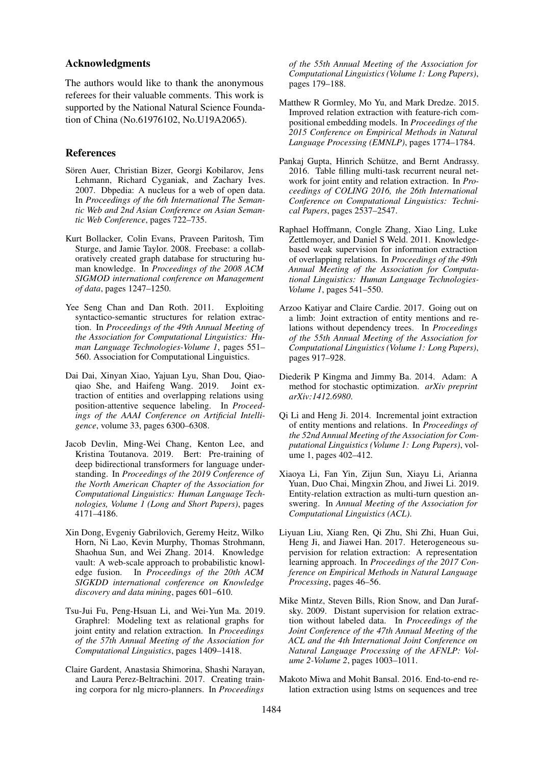### Acknowledgments

The authors would like to thank the anonymous referees for their valuable comments. This work is supported by the National Natural Science Foundation of China (No.61976102, No.U19A2065).

## References

- <span id="page-8-6"></span>Sören Auer, Christian Bizer, Georgi Kobilarov, Jens Lehmann, Richard Cyganiak, and Zachary Ives. 2007. Dbpedia: A nucleus for a web of open data. In *Proceedings of the 6th International The Semantic Web and 2nd Asian Conference on Asian Semantic Web Conference*, pages 722–735.
- <span id="page-8-7"></span>Kurt Bollacker, Colin Evans, Praveen Paritosh, Tim Sturge, and Jamie Taylor. 2008. Freebase: a collaboratively created graph database for structuring human knowledge. In *Proceedings of the 2008 ACM SIGMOD international conference on Management of data*, pages 1247–1250.
- <span id="page-8-0"></span>Yee Seng Chan and Dan Roth. 2011. Exploiting syntactico-semantic structures for relation extraction. In *Proceedings of the 49th Annual Meeting of the Association for Computational Linguistics: Human Language Technologies-Volume 1*, pages 551– 560. Association for Computational Linguistics.
- <span id="page-8-16"></span>Dai Dai, Xinyan Xiao, Yajuan Lyu, Shan Dou, Qiaoqiao She, and Haifeng Wang. 2019. Joint extraction of entities and overlapping relations using position-attentive sequence labeling. In *Proceedings of the AAAI Conference on Artificial Intelligence*, volume 33, pages 6300–6308.
- <span id="page-8-11"></span>Jacob Devlin, Ming-Wei Chang, Kenton Lee, and Kristina Toutanova. 2019. Bert: Pre-training of deep bidirectional transformers for language understanding. In *Proceedings of the 2019 Conference of the North American Chapter of the Association for Computational Linguistics: Human Language Technologies, Volume 1 (Long and Short Papers)*, pages 4171–4186.
- <span id="page-8-8"></span>Xin Dong, Evgeniy Gabrilovich, Geremy Heitz, Wilko Horn, Ni Lao, Kevin Murphy, Thomas Strohmann, Shaohua Sun, and Wei Zhang. 2014. Knowledge vault: A web-scale approach to probabilistic knowledge fusion. In *Proceedings of the 20th ACM SIGKDD international conference on Knowledge discovery and data mining*, pages 601–610.
- <span id="page-8-4"></span>Tsu-Jui Fu, Peng-Hsuan Li, and Wei-Yun Ma. 2019. Graphrel: Modeling text as relational graphs for joint entity and relation extraction. In *Proceedings of the 57th Annual Meeting of the Association for Computational Linguistics*, pages 1409–1418.
- <span id="page-8-13"></span>Claire Gardent, Anastasia Shimorina, Shashi Narayan, and Laura Perez-Beltrachini. 2017. Creating training corpora for nlg micro-planners. In *Proceedings*

*of the 55th Annual Meeting of the Association for Computational Linguistics (Volume 1: Long Papers)*, pages 179–188.

- <span id="page-8-10"></span>Matthew R Gormley, Mo Yu, and Mark Dredze. 2015. Improved relation extraction with feature-rich compositional embedding models. In *Proceedings of the 2015 Conference on Empirical Methods in Natural Language Processing (EMNLP)*, pages 1774–1784.
- <span id="page-8-2"></span>Pankaj Gupta, Hinrich Schütze, and Bernt Andrassy. 2016. Table filling multi-task recurrent neural network for joint entity and relation extraction. In *Proceedings of COLING 2016, the 26th International Conference on Computational Linguistics: Technical Papers*, pages 2537–2547.
- <span id="page-8-14"></span>Raphael Hoffmann, Congle Zhang, Xiao Ling, Luke Zettlemoyer, and Daniel S Weld. 2011. Knowledgebased weak supervision for information extraction of overlapping relations. In *Proceedings of the 49th Annual Meeting of the Association for Computational Linguistics: Human Language Technologies-Volume 1*, pages 541–550.
- <span id="page-8-3"></span>Arzoo Katiyar and Claire Cardie. 2017. Going out on a limb: Joint extraction of entity mentions and relations without dependency trees. In *Proceedings of the 55th Annual Meeting of the Association for Computational Linguistics (Volume 1: Long Papers)*, pages 917–928.
- <span id="page-8-12"></span>Diederik P Kingma and Jimmy Ba. 2014. Adam: A method for stochastic optimization. *arXiv preprint arXiv:1412.6980*.
- <span id="page-8-1"></span>Qi Li and Heng Ji. 2014. Incremental joint extraction of entity mentions and relations. In *Proceedings of the 52nd Annual Meeting of the Association for Computational Linguistics (Volume 1: Long Papers)*, volume 1, pages 402–412.
- <span id="page-8-17"></span>Xiaoya Li, Fan Yin, Zijun Sun, Xiayu Li, Arianna Yuan, Duo Chai, Mingxin Zhou, and Jiwei Li. 2019. Entity-relation extraction as multi-turn question answering. In *Annual Meeting of the Association for Computational Linguistics (ACL)*.
- <span id="page-8-15"></span>Liyuan Liu, Xiang Ren, Qi Zhu, Shi Zhi, Huan Gui, Heng Ji, and Jiawei Han. 2017. Heterogeneous supervision for relation extraction: A representation learning approach. In *Proceedings of the 2017 Conference on Empirical Methods in Natural Language Processing*, pages 46–56.
- <span id="page-8-9"></span>Mike Mintz, Steven Bills, Rion Snow, and Dan Jurafsky. 2009. Distant supervision for relation extraction without labeled data. In *Proceedings of the Joint Conference of the 47th Annual Meeting of the ACL and the 4th International Joint Conference on Natural Language Processing of the AFNLP: Volume 2-Volume 2*, pages 1003–1011.
- <span id="page-8-5"></span>Makoto Miwa and Mohit Bansal. 2016. End-to-end relation extraction using lstms on sequences and tree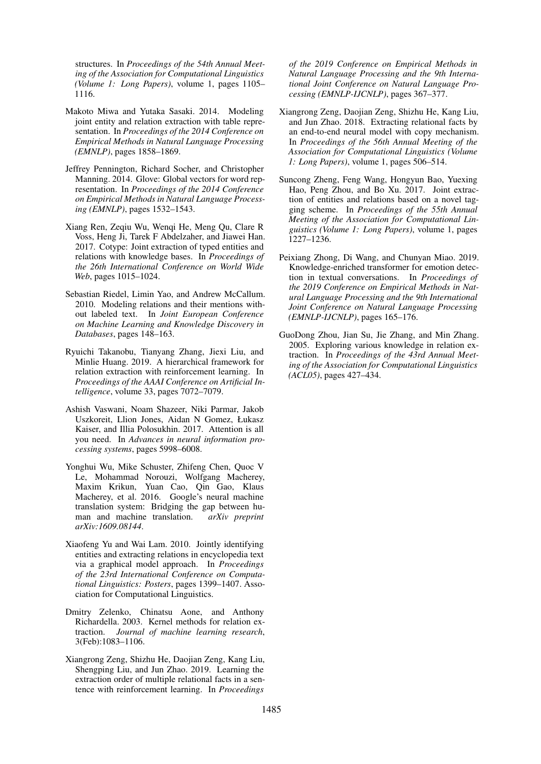structures. In *Proceedings of the 54th Annual Meeting of the Association for Computational Linguistics (Volume 1: Long Papers)*, volume 1, pages 1105– 1116.

- <span id="page-9-3"></span>Makoto Miwa and Yutaka Sasaki. 2014. Modeling joint entity and relation extraction with table representation. In *Proceedings of the 2014 Conference on Empirical Methods in Natural Language Processing (EMNLP)*, pages 1858–1869.
- <span id="page-9-12"></span>Jeffrey Pennington, Richard Socher, and Christopher Manning. 2014. Glove: Global vectors for word representation. In *Proceedings of the 2014 Conference on Empirical Methods in Natural Language Processing (EMNLP)*, pages 1532–1543.
- <span id="page-9-4"></span>Xiang Ren, Zeqiu Wu, Wenqi He, Meng Qu, Clare R Voss, Heng Ji, Tarek F Abdelzaher, and Jiawei Han. 2017. Cotype: Joint extraction of typed entities and relations with knowledge bases. In *Proceedings of the 26th International Conference on World Wide Web*, pages 1015–1024.
- <span id="page-9-11"></span>Sebastian Riedel, Limin Yao, and Andrew McCallum. 2010. Modeling relations and their mentions without labeled text. In *Joint European Conference on Machine Learning and Knowledge Discovery in Databases*, pages 148–163.
- <span id="page-9-13"></span>Ryuichi Takanobu, Tianyang Zhang, Jiexi Liu, and Minlie Huang. 2019. A hierarchical framework for relation extraction with reinforcement learning. In *Proceedings of the AAAI Conference on Artificial Intelligence*, volume 33, pages 7072–7079.
- <span id="page-9-9"></span>Ashish Vaswani, Noam Shazeer, Niki Parmar, Jakob Uszkoreit, Llion Jones, Aidan N Gomez, Łukasz Kaiser, and Illia Polosukhin. 2017. Attention is all you need. In *Advances in neural information processing systems*, pages 5998–6008.
- <span id="page-9-10"></span>Yonghui Wu, Mike Schuster, Zhifeng Chen, Quoc V Le, Mohammad Norouzi, Wolfgang Macherey, Maxim Krikun, Yuan Cao, Qin Gao, Klaus Macherey, et al. 2016. Google's neural machine translation system: Bridging the gap between human and machine translation. *arXiv preprint arXiv:1609.08144*.
- <span id="page-9-2"></span>Xiaofeng Yu and Wai Lam. 2010. Jointly identifying entities and extracting relations in encyclopedia text via a graphical model approach. In *Proceedings of the 23rd International Conference on Computational Linguistics: Posters*, pages 1399–1407. Association for Computational Linguistics.
- <span id="page-9-0"></span>Dmitry Zelenko, Chinatsu Aone, and Anthony Richardella. 2003. Kernel methods for relation extraction. *Journal of machine learning research*, 3(Feb):1083–1106.
- <span id="page-9-7"></span>Xiangrong Zeng, Shizhu He, Daojian Zeng, Kang Liu, Shengping Liu, and Jun Zhao. 2019. Learning the extraction order of multiple relational facts in a sentence with reinforcement learning. In *Proceedings*

*of the 2019 Conference on Empirical Methods in Natural Language Processing and the 9th International Joint Conference on Natural Language Processing (EMNLP-IJCNLP)*, pages 367–377.

- <span id="page-9-6"></span>Xiangrong Zeng, Daojian Zeng, Shizhu He, Kang Liu, and Jun Zhao. 2018. Extracting relational facts by an end-to-end neural model with copy mechanism. In *Proceedings of the 56th Annual Meeting of the Association for Computational Linguistics (Volume 1: Long Papers)*, volume 1, pages 506–514.
- <span id="page-9-5"></span>Suncong Zheng, Feng Wang, Hongyun Bao, Yuexing Hao, Peng Zhou, and Bo Xu. 2017. Joint extraction of entities and relations based on a novel tagging scheme. In *Proceedings of the 55th Annual Meeting of the Association for Computational Linguistics (Volume 1: Long Papers)*, volume 1, pages 1227–1236.
- <span id="page-9-8"></span>Peixiang Zhong, Di Wang, and Chunyan Miao. 2019. Knowledge-enriched transformer for emotion detection in textual conversations. In *Proceedings of the 2019 Conference on Empirical Methods in Natural Language Processing and the 9th International Joint Conference on Natural Language Processing (EMNLP-IJCNLP)*, pages 165–176.
- <span id="page-9-1"></span>GuoDong Zhou, Jian Su, Jie Zhang, and Min Zhang. 2005. Exploring various knowledge in relation extraction. In *Proceedings of the 43rd Annual Meeting of the Association for Computational Linguistics (ACL05)*, pages 427–434.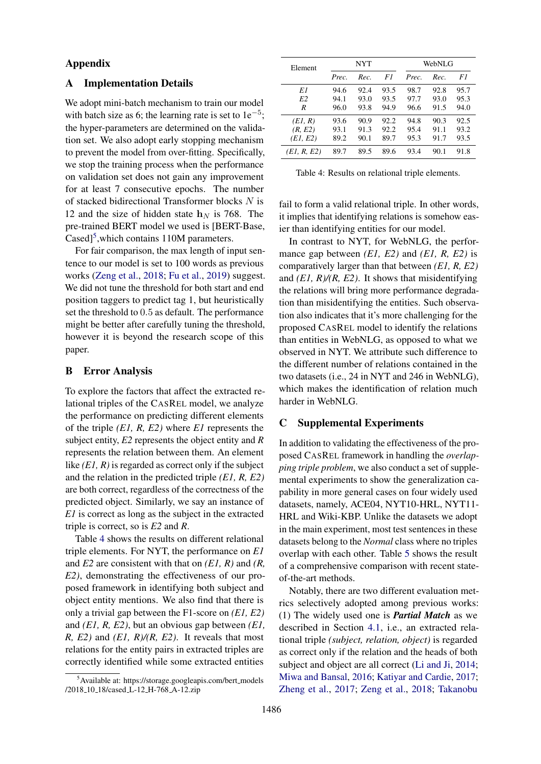## Appendix

# <span id="page-10-0"></span>A Implementation Details

We adopt mini-batch mechanism to train our model with batch size as 6; the learning rate is set to  $1e^{-5}$ ; the hyper-parameters are determined on the validation set. We also adopt early stopping mechanism to prevent the model from over-fitting. Specifically, we stop the training process when the performance on validation set does not gain any improvement for at least 7 consecutive epochs. The number of stacked bidirectional Transformer blocks N is 12 and the size of hidden state  $h<sub>N</sub>$  is 768. The pre-trained BERT model we used is [BERT-Base, Cased]<sup>[5](#page-10-2)</sup>, which contains 110M parameters.

For fair comparison, the max length of input sentence to our model is set to 100 words as previous works [\(Zeng et al.,](#page-9-6) [2018;](#page-9-6) [Fu et al.,](#page-8-4) [2019\)](#page-8-4) suggest. We did not tune the threshold for both start and end position taggers to predict tag 1, but heuristically set the threshold to 0.5 as default. The performance might be better after carefully tuning the threshold, however it is beyond the research scope of this paper.

### B Error Analysis

To explore the factors that affect the extracted relational triples of the CASREL model, we analyze the performance on predicting different elements of the triple *(E1, R, E2)* where *E1* represents the subject entity, *E2* represents the object entity and *R* represents the relation between them. An element like *(E1, R)* is regarded as correct only if the subject and the relation in the predicted triple *(E1, R, E2)* are both correct, regardless of the correctness of the predicted object. Similarly, we say an instance of *E1* is correct as long as the subject in the extracted triple is correct, so is *E2* and *R*.

Table [4](#page-10-3) shows the results on different relational triple elements. For NYT, the performance on *E1* and *E2* are consistent with that on *(E1, R)* and *(R, E2)*, demonstrating the effectiveness of our proposed framework in identifying both subject and object entity mentions. We also find that there is only a trivial gap between the F1-score on *(E1, E2)* and *(E1, R, E2)*, but an obvious gap between *(E1, R, E2)* and *(E1, R)/(R, E2)*. It reveals that most relations for the entity pairs in extracted triples are correctly identified while some extracted entities

<span id="page-10-3"></span>

| Element        |       | NYT  |      | WebNLG |      |      |  |
|----------------|-------|------|------|--------|------|------|--|
|                | Prec. | Rec. | F1   | Prec.  | Rec. | F1   |  |
| E1             | 94.6  | 92.4 | 93.5 | 98.7   | 92.8 | 95.7 |  |
| E <sub>2</sub> | 94.1  | 93.0 | 93.5 | 97.7   | 93.0 | 95.3 |  |
| R              | 96.0  | 93.8 | 94.9 | 96.6   | 91.5 | 94.0 |  |
| (EI, R)        | 93.6  | 90.9 | 92.2 | 94.8   | 90.3 | 92.5 |  |
| (R, E2)        | 93.1  | 91.3 | 92.2 | 95.4   | 91.1 | 93.2 |  |
| (E1, E2)       | 89.2  | 90.1 | 89.7 | 95.3   | 91.7 | 93.5 |  |
| (E1, R, E2)    | 89.7  | 89.5 | 89.6 | 93.4   | 90.1 | 91.8 |  |

Table 4: Results on relational triple elements.

fail to form a valid relational triple. In other words, it implies that identifying relations is somehow easier than identifying entities for our model.

In contrast to NYT, for WebNLG, the performance gap between *(E1, E2)* and *(E1, R, E2)* is comparatively larger than that between *(E1, R, E2)* and *(E1, R)/(R, E2)*. It shows that misidentifying the relations will bring more performance degradation than misidentifying the entities. Such observation also indicates that it's more challenging for the proposed CASREL model to identify the relations than entities in WebNLG, as opposed to what we observed in NYT. We attribute such difference to the different number of relations contained in the two datasets (i.e., 24 in NYT and 246 in WebNLG), which makes the identification of relation much harder in WebNLG.

# <span id="page-10-1"></span>C Supplemental Experiments

In addition to validating the effectiveness of the proposed CASREL framework in handling the *overlapping triple problem*, we also conduct a set of supplemental experiments to show the generalization capability in more general cases on four widely used datasets, namely, ACE04, NYT10-HRL, NYT11- HRL and Wiki-KBP. Unlike the datasets we adopt in the main experiment, most test sentences in these datasets belong to the *Normal* class where no triples overlap with each other. Table [5](#page-11-0) shows the result of a comprehensive comparison with recent stateof-the-art methods.

Notably, there are two different evaluation metrics selectively adopted among previous works: (1) The widely used one is *Partial Match* as we described in Section [4.1,](#page-5-3) i.e., an extracted relational triple *(subject, relation, object)* is regarded as correct only if the relation and the heads of both subject and object are all correct [\(Li and Ji,](#page-8-1) [2014;](#page-8-1) [Miwa and Bansal,](#page-8-5) [2016;](#page-8-5) [Katiyar and Cardie,](#page-8-3) [2017;](#page-8-3) [Zheng et al.,](#page-9-5) [2017;](#page-9-5) [Zeng et al.,](#page-9-6) [2018;](#page-9-6) [Takanobu](#page-9-13)

<span id="page-10-2"></span><sup>&</sup>lt;sup>5</sup>Available at: https://storage.googleapis.com/bert\_models /2018 10 18/cased L-12 H-768 A-12.zip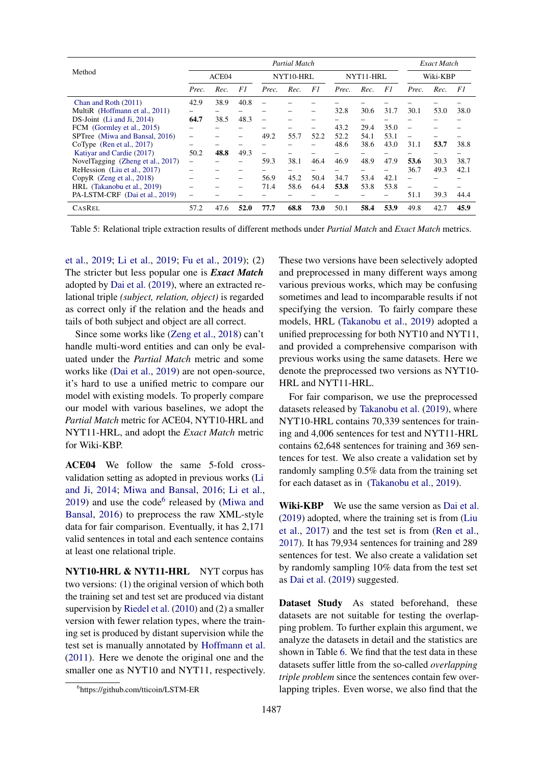<span id="page-11-0"></span>

|                                   | Partial Match |      |           |                          |           |      |       |          | Exact Match |       |      |      |
|-----------------------------------|---------------|------|-----------|--------------------------|-----------|------|-------|----------|-------------|-------|------|------|
| Method                            | ACE04         |      | NYT10-HRL |                          | NYT11-HRL |      |       | Wiki-KBP |             |       |      |      |
|                                   | Prec.         | Rec. | F1        | Prec.                    | Rec.      | F1   | Prec. | Rec.     | F1          | Prec. | Rec. | F1   |
| Chan and Roth (2011)              | 42.9          | 38.9 | 40.8      |                          |           |      |       |          |             |       |      |      |
| MultiR (Hoffmann et al., 2011)    |               |      |           |                          |           |      | 32.8  | 30.6     | 31.7        | 30.1  | 53.0 | 38.0 |
| $DS-Joint$ (Li and Ji, 2014)      | 64.7          | 38.5 | 48.3      | $\overline{\phantom{0}}$ |           |      |       |          |             |       |      |      |
| FCM (Gormley et al., 2015)        |               |      |           |                          |           |      | 43.2  | 29.4     | 35.0        |       |      |      |
| SPTree (Miwa and Bansal, 2016)    |               |      |           | 49.2                     | 55.7      | 52.2 | 52.2  | 54.1     | 53.1        |       |      |      |
| CoType $(Ren et al., 2017)$       |               |      |           |                          |           |      | 48.6  | 38.6     | 43.0        | 31.1  | 53.7 | 38.8 |
| Katiyar and Cardie (2017)         | 50.2          | 48.8 | 49.3      | $\overline{\phantom{0}}$ |           |      |       |          |             |       |      |      |
| NovelTagging (Zheng et al., 2017) |               |      |           | 59.3                     | 38.1      | 46.4 | 46.9  | 48.9     | 47.9        | 53.6  | 30.3 | 38.7 |
| ReHession (Liu et al., 2017)      |               |      |           |                          |           |      |       |          |             | 36.7  | 49.3 | 42.1 |
| CopyR $(Zeng et al., 2018)$       |               |      |           | 56.9                     | 45.2      | 50.4 | 34.7  | 53.4     | 42.1        |       |      |      |
| HRL (Takanobu et al., 2019)       |               |      |           | 71.4                     | 58.6      | 64.4 | 53.8  | 53.8     | 53.8        |       |      |      |
| PA-LSTM-CRF (Dai et al., 2019)    |               |      |           |                          |           |      |       |          |             | 51.1  | 39.3 | 44.4 |
| <b>CASREL</b>                     | 57.2          | 47.6 | 52.0      | 77.7                     | 68.8      | 73.0 | 50.1  | 58.4     | 53.9        | 49.8  | 42.7 | 45.9 |

Table 5: Relational triple extraction results of different methods under *Partial Match* and *Exact Match* metrics.

[et al.,](#page-9-13) [2019;](#page-9-13) [Li et al.,](#page-8-17) [2019;](#page-8-17) [Fu et al.,](#page-8-4) [2019\)](#page-8-4); (2) The stricter but less popular one is *Exact Match* adopted by [Dai et al.](#page-8-16) [\(2019\)](#page-8-16), where an extracted relational triple *(subject, relation, object)* is regarded as correct only if the relation and the heads and tails of both subject and object are all correct.

Since some works like [\(Zeng et al.,](#page-9-6) [2018\)](#page-9-6) can't handle multi-word entities and can only be evaluated under the *Partial Match* metric and some works like [\(Dai et al.,](#page-8-16) [2019\)](#page-8-16) are not open-source, it's hard to use a unified metric to compare our model with existing models. To properly compare our model with various baselines, we adopt the *Partial Match* metric for ACE04, NYT10-HRL and NYT11-HRL, and adopt the *Exact Match* metric for Wiki-KBP.

ACE04 We follow the same 5-fold crossvalidation setting as adopted in previous works [\(Li](#page-8-1) [and Ji,](#page-8-1) [2014;](#page-8-1) [Miwa and Bansal,](#page-8-5) [2016;](#page-8-5) [Li et al.,](#page-8-17)  $2019$ ) and use the code<sup>[6](#page-11-1)</sup> released by [\(Miwa and](#page-8-5) [Bansal,](#page-8-5) [2016\)](#page-8-5) to preprocess the raw XML-style data for fair comparison. Eventually, it has 2,171 valid sentences in total and each sentence contains at least one relational triple.

<span id="page-11-1"></span>NYT10-HRL & NYT11-HRL NYT corpus has two versions: (1) the original version of which both the training set and test set are produced via distant supervision by [Riedel et al.](#page-9-11) [\(2010\)](#page-9-11) and (2) a smaller version with fewer relation types, where the training set is produced by distant supervision while the test set is manually annotated by [Hoffmann et al.](#page-8-14) [\(2011\)](#page-8-14). Here we denote the original one and the smaller one as NYT10 and NYT11, respectively. These two versions have been selectively adopted and preprocessed in many different ways among various previous works, which may be confusing sometimes and lead to incomparable results if not specifying the version. To fairly compare these models, HRL [\(Takanobu et al.,](#page-9-13) [2019\)](#page-9-13) adopted a unified preprocessing for both NYT10 and NYT11, and provided a comprehensive comparison with previous works using the same datasets. Here we denote the preprocessed two versions as NYT10- HRL and NYT11-HRL.

For fair comparison, we use the preprocessed datasets released by [Takanobu et al.](#page-9-13) [\(2019\)](#page-9-13), where NYT10-HRL contains 70,339 sentences for training and 4,006 sentences for test and NYT11-HRL contains 62,648 sentences for training and 369 sentences for test. We also create a validation set by randomly sampling 0.5% data from the training set for each dataset as in [\(Takanobu et al.,](#page-9-13) [2019\)](#page-9-13).

Wiki-KBP We use the same version as [Dai et al.](#page-8-16) [\(2019\)](#page-8-16) adopted, where the training set is from [\(Liu](#page-8-15) [et al.,](#page-8-15) [2017\)](#page-8-15) and the test set is from [\(Ren et al.,](#page-9-4) [2017\)](#page-9-4). It has 79,934 sentences for training and 289 sentences for test. We also create a validation set by randomly sampling 10% data from the test set as [Dai et al.](#page-8-16) [\(2019\)](#page-8-16) suggested.

Dataset Study As stated beforehand, these datasets are not suitable for testing the overlapping problem. To further explain this argument, we analyze the datasets in detail and the statistics are shown in Table [6.](#page-12-0) We find that the test data in these datasets suffer little from the so-called *overlapping triple problem* since the sentences contain few overlapping triples. Even worse, we also find that the